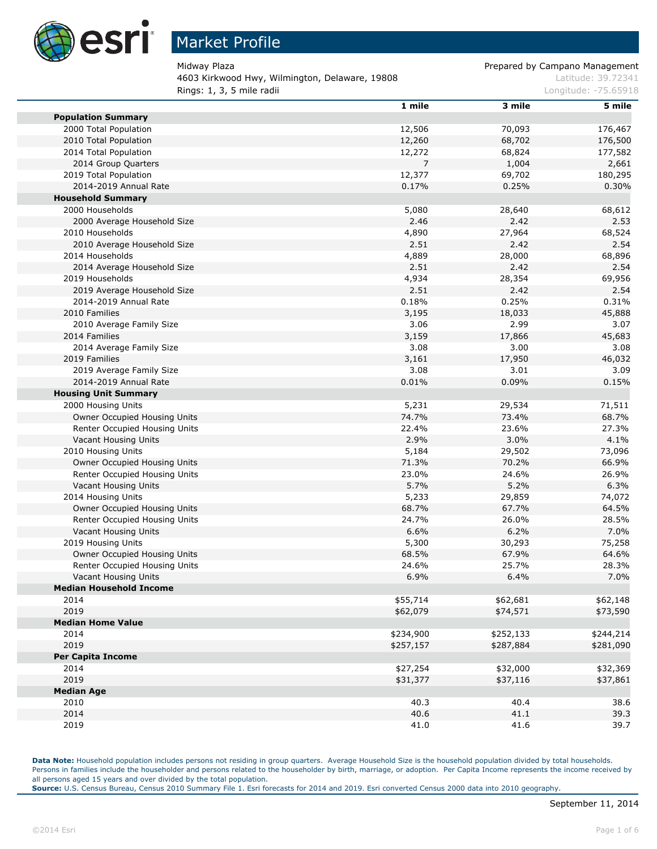

m

п

F.

## Market Profile

4603 Kirkwood Hwy, Wilmington, Delaware, 19808 March 2008 Latitude: 39.72341 **Rings: 1, 3, 5 mile radii Congression Congress 2018** Longitude: -75.65918

Midway Plaza Prepared by Campano Management

|                                | 1 mile    | 3 mile    | 5 mile    |
|--------------------------------|-----------|-----------|-----------|
| <b>Population Summary</b>      |           |           |           |
| 2000 Total Population          | 12,506    | 70,093    | 176,467   |
| 2010 Total Population          | 12,260    | 68,702    | 176,500   |
| 2014 Total Population          | 12,272    | 68,824    | 177,582   |
| 2014 Group Quarters            | 7         | 1,004     | 2,661     |
| 2019 Total Population          | 12,377    | 69,702    | 180,295   |
| 2014-2019 Annual Rate          | 0.17%     | 0.25%     | 0.30%     |
| <b>Household Summary</b>       |           |           |           |
| 2000 Households                | 5,080     | 28,640    | 68,612    |
| 2000 Average Household Size    | 2.46      | 2.42      | 2.53      |
| 2010 Households                | 4,890     | 27,964    | 68,524    |
| 2010 Average Household Size    | 2.51      | 2.42      | 2.54      |
| 2014 Households                | 4,889     | 28,000    | 68,896    |
| 2014 Average Household Size    | 2.51      | 2.42      | 2.54      |
| 2019 Households                | 4,934     | 28,354    | 69,956    |
| 2019 Average Household Size    | 2.51      | 2.42      | 2.54      |
| 2014-2019 Annual Rate          | 0.18%     | 0.25%     | 0.31%     |
| 2010 Families                  | 3,195     | 18,033    | 45,888    |
| 2010 Average Family Size       | 3.06      | 2.99      | 3.07      |
| 2014 Families                  | 3,159     | 17,866    | 45,683    |
| 2014 Average Family Size       | 3.08      | 3.00      | 3.08      |
| 2019 Families                  | 3,161     | 17,950    | 46,032    |
| 2019 Average Family Size       | 3.08      | 3.01      | 3.09      |
| 2014-2019 Annual Rate          | 0.01%     | 0.09%     | 0.15%     |
| <b>Housing Unit Summary</b>    |           |           |           |
| 2000 Housing Units             | 5,231     | 29,534    | 71,511    |
| Owner Occupied Housing Units   | 74.7%     | 73.4%     | 68.7%     |
| Renter Occupied Housing Units  | 22.4%     | 23.6%     | 27.3%     |
| Vacant Housing Units           | 2.9%      | 3.0%      | 4.1%      |
| 2010 Housing Units             | 5,184     | 29,502    | 73,096    |
| Owner Occupied Housing Units   | 71.3%     | 70.2%     | 66.9%     |
| Renter Occupied Housing Units  | 23.0%     | 24.6%     | 26.9%     |
| Vacant Housing Units           | 5.7%      | 5.2%      | 6.3%      |
| 2014 Housing Units             | 5,233     | 29,859    | 74,072    |
| Owner Occupied Housing Units   | 68.7%     | 67.7%     | 64.5%     |
| Renter Occupied Housing Units  | 24.7%     | 26.0%     | 28.5%     |
| Vacant Housing Units           | 6.6%      | 6.2%      | 7.0%      |
| 2019 Housing Units             | 5,300     | 30,293    | 75,258    |
| Owner Occupied Housing Units   | 68.5%     | 67.9%     | 64.6%     |
| Renter Occupied Housing Units  | 24.6%     | 25.7%     | 28.3%     |
| Vacant Housing Units           | 6.9%      | 6.4%      | 7.0%      |
| <b>Median Household Income</b> |           |           |           |
| 2014                           | \$55,714  | \$62,681  | \$62,148  |
| 2019                           | \$62,079  | \$74,571  | \$73,590  |
| <b>Median Home Value</b>       |           |           |           |
| 2014                           | \$234,900 | \$252,133 | \$244,214 |
| 2019                           | \$257,157 | \$287,884 | \$281,090 |
| <b>Per Capita Income</b>       |           |           |           |
| 2014                           | \$27,254  | \$32,000  | \$32,369  |
| 2019                           | \$31,377  | \$37,116  | \$37,861  |
| <b>Median Age</b>              |           |           |           |
| 2010                           | 40.3      | 40.4      | 38.6      |
| 2014                           | 40.6      | 41.1      | 39.3      |
| 2019                           | 41.0      | 41.6      | 39.7      |

Data Note: Household population includes persons not residing in group quarters. Average Household Size is the household population divided by total households. Persons in families include the householder and persons related to the householder by birth, marriage, or adoption. Per Capita Income represents the income received by all persons aged 15 years and over divided by the total population.

**Source:** U.S. Census Bureau, Census 2010 Summary File 1. Esri forecasts for 2014 and 2019. Esri converted Census 2000 data into 2010 geography.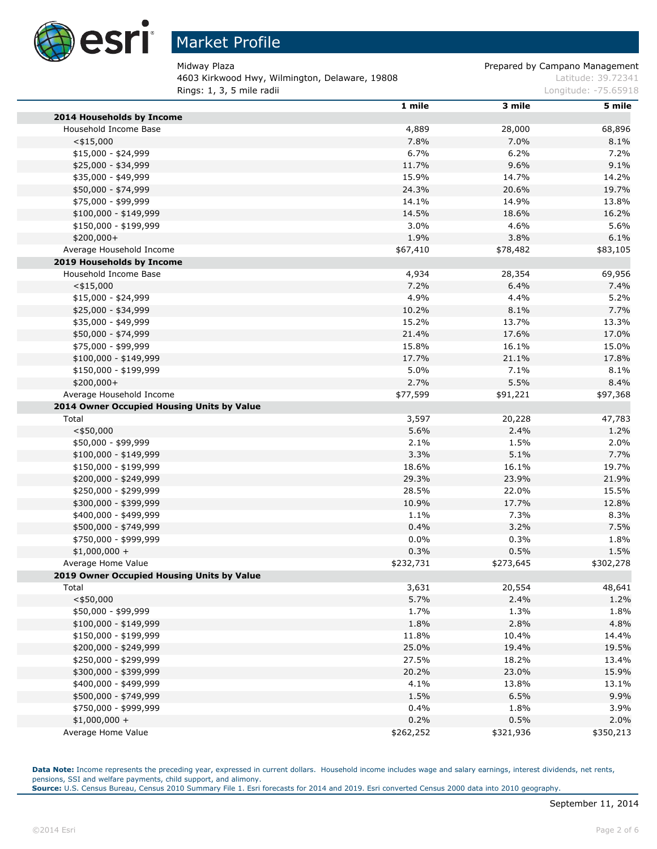

## Market Profile

4603 Kirkwood Hwy, Wilmington, Delaware, 19808 March 2008 Latitude: 39.72341 **Rings: 1, 3, 5 mile radii Longitude: -75.65918 Longitude: -75.65918** 

Midway Plaza **Prepared by Campano Management** 

|                                                     | 1 mile    | 3 mile    | 5 mile    |
|-----------------------------------------------------|-----------|-----------|-----------|
| 2014 Households by Income                           |           |           |           |
| Household Income Base                               | 4,889     | 28,000    | 68,896    |
| $<$ \$15,000                                        | 7.8%      | 7.0%      | 8.1%      |
| $$15,000 - $24,999$                                 | 6.7%      | 6.2%      | 7.2%      |
| \$25,000 - \$34,999                                 | 11.7%     | 9.6%      | 9.1%      |
| \$35,000 - \$49,999                                 | 15.9%     | 14.7%     | 14.2%     |
| \$50,000 - \$74,999                                 | 24.3%     | 20.6%     | 19.7%     |
| \$75,000 - \$99,999                                 | 14.1%     | 14.9%     | 13.8%     |
| $$100,000 - $149,999$                               | 14.5%     | 18.6%     | 16.2%     |
| \$150,000 - \$199,999                               | 3.0%      | 4.6%      | 5.6%      |
| \$200,000+                                          | 1.9%      | 3.8%      | 6.1%      |
| Average Household Income                            | \$67,410  | \$78,482  | \$83,105  |
| 2019 Households by Income                           |           |           |           |
| Household Income Base                               | 4,934     | 28,354    | 69,956    |
| $<$ \$15,000                                        | 7.2%      | 6.4%      | 7.4%      |
| \$15,000 - \$24,999                                 | 4.9%      | 4.4%      | 5.2%      |
| \$25,000 - \$34,999                                 | 10.2%     | 8.1%      | 7.7%      |
| \$35,000 - \$49,999                                 | 15.2%     | 13.7%     | 13.3%     |
| \$50,000 - \$74,999                                 | 21.4%     | 17.6%     | 17.0%     |
| \$75,000 - \$99,999                                 | 15.8%     | 16.1%     | 15.0%     |
| $$100,000 - $149,999$                               | 17.7%     | 21.1%     | 17.8%     |
| \$150,000 - \$199,999                               | 5.0%      | 7.1%      | 8.1%      |
| \$200,000+                                          | 2.7%      | 5.5%      | 8.4%      |
| Average Household Income                            | \$77,599  | \$91,221  | \$97,368  |
| 2014 Owner Occupied Housing Units by Value          |           |           |           |
| Total                                               | 3,597     | 20,228    | 47,783    |
| $<$ \$50,000                                        | 5.6%      | 2.4%      | 1.2%      |
| \$50,000 - \$99,999                                 | 2.1%      | 1.5%      | 2.0%      |
| $$100,000 - $149,999$                               | 3.3%      | 5.1%      | 7.7%      |
| \$150,000 - \$199,999                               | 18.6%     | 16.1%     | 19.7%     |
| \$200,000 - \$249,999                               | 29.3%     | 23.9%     | 21.9%     |
| \$250,000 - \$299,999                               | 28.5%     | 22.0%     | 15.5%     |
| \$300,000 - \$399,999                               | 10.9%     | 17.7%     | 12.8%     |
| \$400,000 - \$499,999                               | 1.1%      | 7.3%      | 8.3%      |
| \$500,000 - \$749,999                               | 0.4%      | 3.2%      | 7.5%      |
| \$750,000 - \$999,999                               | $0.0\%$   | 0.3%      | 1.8%      |
| $$1,000,000 +$                                      | 0.3%      | 0.5%      | 1.5%      |
|                                                     | \$232,731 |           |           |
| Average Home Value                                  |           | \$273,645 | \$302,278 |
| 2019 Owner Occupied Housing Units by Value<br>Total |           | 20,554    | 48,641    |
| $<$ \$50,000                                        | 3,631     |           |           |
|                                                     | 5.7%      | 2.4%      | 1.2%      |
| \$50,000 - \$99,999                                 | 1.7%      | 1.3%      | 1.8%      |
| \$100,000 - \$149,999                               | 1.8%      | 2.8%      | 4.8%      |
| \$150,000 - \$199,999                               | 11.8%     | 10.4%     | 14.4%     |
| \$200,000 - \$249,999                               | 25.0%     | 19.4%     | 19.5%     |
| \$250,000 - \$299,999                               | 27.5%     | 18.2%     | 13.4%     |
| \$300,000 - \$399,999                               | 20.2%     | 23.0%     | 15.9%     |
| \$400,000 - \$499,999                               | 4.1%      | 13.8%     | 13.1%     |
| \$500,000 - \$749,999                               | 1.5%      | 6.5%      | 9.9%      |
| \$750,000 - \$999,999                               | 0.4%      | 1.8%      | 3.9%      |
| $$1,000,000 +$                                      | 0.2%      | 0.5%      | 2.0%      |
| Average Home Value                                  | \$262,252 | \$321,936 | \$350,213 |

Data Note: Income represents the preceding year, expressed in current dollars. Household income includes wage and salary earnings, interest dividends, net rents, pensions, SSI and welfare payments, child support, and alimony.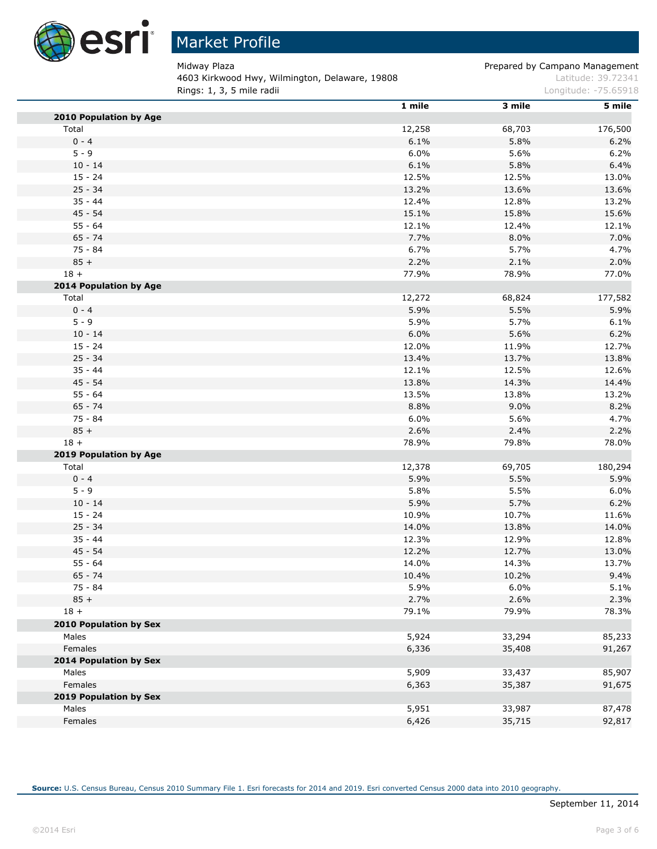

# Market Profile

4603 Kirkwood Hwy, Wilmington, Delaware, 19808 March 2008 Latitude: 39.72341 **Rings: 1, 3, 5 mile radii Constanting Constanting Constanting Constanting Constanting Constanting Constanting Constanting Constanting Constanting Constanting Constanting Constanting Constanting Constanting Constanting C** 

Midway Plaza **Prepared by Campano Management** 

|                               | 1 mile | 3 mile | 5 mile  |
|-------------------------------|--------|--------|---------|
| 2010 Population by Age        |        |        |         |
| Total                         | 12,258 | 68,703 | 176,500 |
| $0 - 4$                       | 6.1%   | 5.8%   | 6.2%    |
| $5 - 9$                       | 6.0%   | 5.6%   | 6.2%    |
| $10 - 14$                     | 6.1%   | 5.8%   | 6.4%    |
| $15 - 24$                     | 12.5%  | 12.5%  | 13.0%   |
| $25 - 34$                     | 13.2%  | 13.6%  | 13.6%   |
| $35 - 44$                     | 12.4%  | 12.8%  | 13.2%   |
| 45 - 54                       | 15.1%  | 15.8%  | 15.6%   |
| $55 - 64$                     | 12.1%  | 12.4%  | 12.1%   |
| $65 - 74$                     | 7.7%   | 8.0%   | 7.0%    |
| $75 - 84$                     | 6.7%   | 5.7%   | 4.7%    |
| $85 +$                        | 2.2%   | 2.1%   | 2.0%    |
| $18 +$                        | 77.9%  | 78.9%  | 77.0%   |
| <b>2014 Population by Age</b> |        |        |         |
| Total                         | 12,272 | 68,824 | 177,582 |
| $0 - 4$                       | 5.9%   | 5.5%   | 5.9%    |
| $5 - 9$                       | 5.9%   | 5.7%   | 6.1%    |
| $10 - 14$                     | 6.0%   | 5.6%   | 6.2%    |
| $15 - 24$                     | 12.0%  | 11.9%  | 12.7%   |
| $25 - 34$                     | 13.4%  | 13.7%  | 13.8%   |
| $35 - 44$                     | 12.1%  | 12.5%  | 12.6%   |
| $45 - 54$                     | 13.8%  | 14.3%  | 14.4%   |
| $55 - 64$                     | 13.5%  | 13.8%  | 13.2%   |
| $65 - 74$                     | 8.8%   | 9.0%   | 8.2%    |
| $75 - 84$                     | 6.0%   | 5.6%   | 4.7%    |
| $85 +$                        | 2.6%   | 2.4%   | 2.2%    |
| $18 +$                        | 78.9%  | 79.8%  | 78.0%   |
| 2019 Population by Age        |        |        |         |
| Total                         | 12,378 | 69,705 | 180,294 |
| $0 - 4$                       | 5.9%   | 5.5%   | 5.9%    |
| $5 - 9$                       | 5.8%   | 5.5%   | 6.0%    |
| $10 - 14$                     | 5.9%   | 5.7%   | 6.2%    |
| $15 - 24$                     | 10.9%  | 10.7%  | 11.6%   |
| $25 - 34$                     | 14.0%  | 13.8%  | 14.0%   |
| $35 - 44$                     | 12.3%  | 12.9%  | 12.8%   |
| 45 - 54                       | 12.2%  | 12.7%  | 13.0%   |
| $55 - 64$                     | 14.0%  | 14.3%  | 13.7%   |
| $65 - 74$                     | 10.4%  | 10.2%  | 9.4%    |
| 75 - 84                       | 5.9%   | 6.0%   | 5.1%    |
| $85 +$                        | 2.7%   | 2.6%   | 2.3%    |
| $18 +$                        | 79.1%  | 79.9%  | 78.3%   |
| 2010 Population by Sex        |        |        |         |
| Males                         | 5,924  | 33,294 | 85,233  |
| Females                       | 6,336  | 35,408 | 91,267  |
| <b>2014 Population by Sex</b> |        |        |         |
| Males                         | 5,909  | 33,437 | 85,907  |
| Females                       | 6,363  | 35,387 | 91,675  |
| 2019 Population by Sex        |        |        |         |
| Males                         | 5,951  | 33,987 | 87,478  |
| Females                       |        |        |         |
|                               | 6,426  | 35,715 | 92,817  |

**Source:** U.S. Census Bureau, Census 2010 Summary File 1. Esri forecasts for 2014 and 2019. Esri converted Census 2000 data into 2010 geography.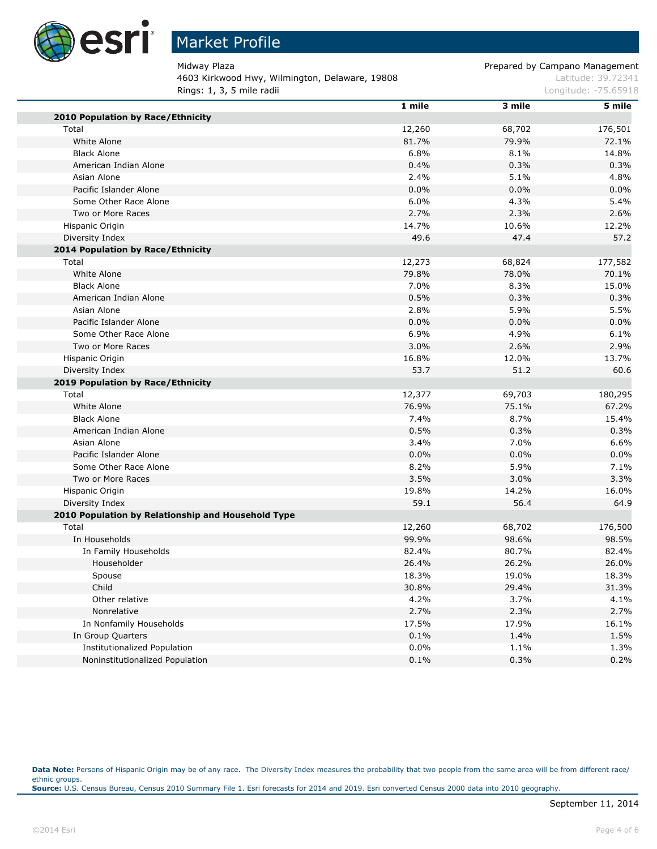

# Market Profile

4603 Kirkwood Hwy, Wilmington, Delaware, 19808 March 2008 Latitude: 39.72341 **Rings: 1, 3, 5 mile radii Longitude: -75.65918 Longitude: -75.65918** 

Midway Plaza **Prepared by Campano Management** 

|                                                    | 1 mile  | 3 mile | 5 mile  |
|----------------------------------------------------|---------|--------|---------|
| 2010 Population by Race/Ethnicity                  |         |        |         |
| Total                                              | 12,260  | 68,702 | 176,501 |
| White Alone                                        | 81.7%   | 79.9%  | 72.1%   |
| <b>Black Alone</b>                                 | 6.8%    | 8.1%   | 14.8%   |
| American Indian Alone                              | 0.4%    | 0.3%   | 0.3%    |
| Asian Alone                                        | 2.4%    | 5.1%   | 4.8%    |
| Pacific Islander Alone                             | $0.0\%$ | 0.0%   | 0.0%    |
| Some Other Race Alone                              | 6.0%    | 4.3%   | 5.4%    |
| Two or More Races                                  | 2.7%    | 2.3%   | 2.6%    |
| Hispanic Origin                                    | 14.7%   | 10.6%  | 12.2%   |
| Diversity Index                                    | 49.6    | 47.4   | 57.2    |
| 2014 Population by Race/Ethnicity                  |         |        |         |
| Total                                              | 12,273  | 68,824 | 177,582 |
| White Alone                                        | 79.8%   | 78.0%  | 70.1%   |
| <b>Black Alone</b>                                 | 7.0%    | 8.3%   | 15.0%   |
| American Indian Alone                              | 0.5%    | 0.3%   | 0.3%    |
| Asian Alone                                        | 2.8%    | 5.9%   | 5.5%    |
| Pacific Islander Alone                             | 0.0%    | 0.0%   | 0.0%    |
| Some Other Race Alone                              | 6.9%    | 4.9%   | 6.1%    |
| Two or More Races                                  | 3.0%    | 2.6%   | 2.9%    |
| Hispanic Origin                                    | 16.8%   | 12.0%  | 13.7%   |
| Diversity Index                                    | 53.7    | 51.2   | 60.6    |
| 2019 Population by Race/Ethnicity                  |         |        |         |
| Total                                              | 12,377  | 69,703 | 180,295 |
| White Alone                                        | 76.9%   | 75.1%  | 67.2%   |
| <b>Black Alone</b>                                 | 7.4%    | 8.7%   | 15.4%   |
| American Indian Alone                              | 0.5%    | 0.3%   | 0.3%    |
| Asian Alone                                        | 3.4%    | 7.0%   | 6.6%    |
| Pacific Islander Alone                             | 0.0%    | 0.0%   | 0.0%    |
| Some Other Race Alone                              | 8.2%    | 5.9%   | 7.1%    |
| Two or More Races                                  | 3.5%    | 3.0%   | 3.3%    |
| Hispanic Origin                                    | 19.8%   | 14.2%  | 16.0%   |
| Diversity Index                                    | 59.1    | 56.4   | 64.9    |
| 2010 Population by Relationship and Household Type |         |        |         |
| Total                                              | 12,260  | 68,702 | 176,500 |
| In Households                                      | 99.9%   | 98.6%  | 98.5%   |
| In Family Households                               | 82.4%   | 80.7%  | 82.4%   |
| Householder                                        | 26.4%   | 26.2%  | 26.0%   |
| Spouse                                             | 18.3%   | 19.0%  | 18.3%   |
| Child                                              | 30.8%   | 29.4%  | 31.3%   |
| Other relative                                     | 4.2%    | 3.7%   | 4.1%    |
| Nonrelative                                        | 2.7%    | 2.3%   | 2.7%    |
| In Nonfamily Households                            | 17.5%   | 17.9%  | 16.1%   |
| In Group Quarters                                  | 0.1%    | 1.4%   | 1.5%    |
| Institutionalized Population                       | $0.0\%$ | 1.1%   | 1.3%    |
| Noninstitutionalized Population                    | 0.1%    | 0.3%   | 0.2%    |

Data Note: Persons of Hispanic Origin may be of any race. The Diversity Index measures the probability that two people from the same area will be from different race/ ethnic groups. **Source:** U.S. Census Bureau, Census 2010 Summary File 1. Esri forecasts for 2014 and 2019. Esri converted Census 2000 data into 2010 geography.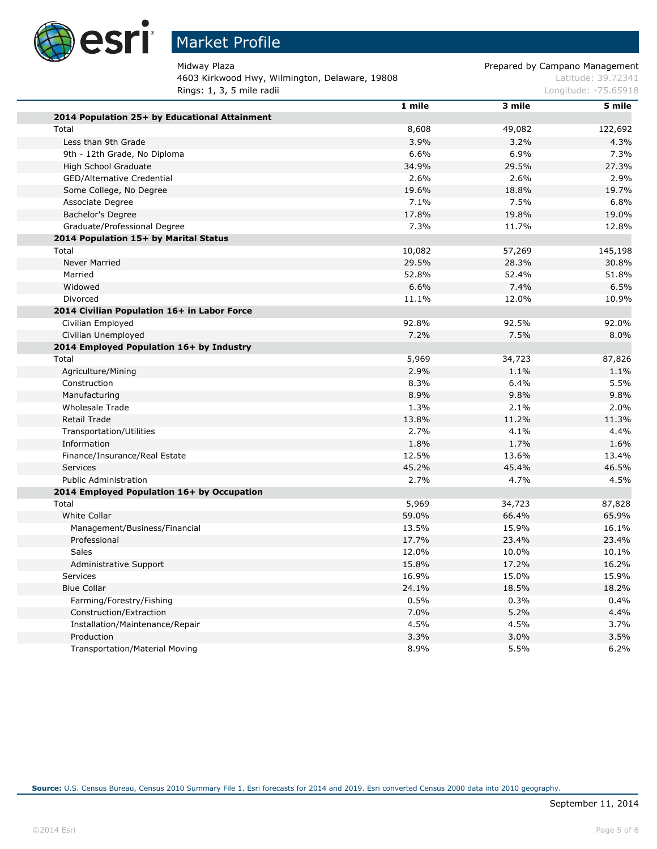

# Market Profile

4603 Kirkwood Hwy, Wilmington, Delaware, 19808 March 2008 Latitude: 39.72341 **Rings: 1, 3, 5 mile radii Longitude: -75.65918 Longitude: -75.65918** 

Midway Plaza **Prepared by Campano Management** 

|                                               | 1 mile | 3 mile | 5 mile  |
|-----------------------------------------------|--------|--------|---------|
| 2014 Population 25+ by Educational Attainment |        |        |         |
| Total                                         | 8,608  | 49,082 | 122,692 |
| Less than 9th Grade                           | 3.9%   | 3.2%   | 4.3%    |
| 9th - 12th Grade, No Diploma                  | 6.6%   | 6.9%   | 7.3%    |
| High School Graduate                          | 34.9%  | 29.5%  | 27.3%   |
| GED/Alternative Credential                    | 2.6%   | 2.6%   | 2.9%    |
| Some College, No Degree                       | 19.6%  | 18.8%  | 19.7%   |
| Associate Degree                              | 7.1%   | 7.5%   | 6.8%    |
| Bachelor's Degree                             | 17.8%  | 19.8%  | 19.0%   |
| Graduate/Professional Degree                  | 7.3%   | 11.7%  | 12.8%   |
| 2014 Population 15+ by Marital Status         |        |        |         |
| Total                                         | 10,082 | 57,269 | 145,198 |
| <b>Never Married</b>                          | 29.5%  | 28.3%  | 30.8%   |
| Married                                       | 52.8%  | 52.4%  | 51.8%   |
| Widowed                                       | 6.6%   | 7.4%   | 6.5%    |
| Divorced                                      | 11.1%  | 12.0%  | 10.9%   |
| 2014 Civilian Population 16+ in Labor Force   |        |        |         |
| Civilian Employed                             | 92.8%  | 92.5%  | 92.0%   |
| Civilian Unemployed                           | 7.2%   | 7.5%   | 8.0%    |
| 2014 Employed Population 16+ by Industry      |        |        |         |
| Total                                         | 5,969  | 34,723 | 87,826  |
| Agriculture/Mining                            | 2.9%   | 1.1%   | 1.1%    |
| Construction                                  | 8.3%   | 6.4%   | 5.5%    |
| Manufacturing                                 | 8.9%   | 9.8%   | 9.8%    |
| <b>Wholesale Trade</b>                        | 1.3%   | 2.1%   | 2.0%    |
| <b>Retail Trade</b>                           | 13.8%  | 11.2%  | 11.3%   |
| <b>Transportation/Utilities</b>               | 2.7%   | 4.1%   | 4.4%    |
| Information                                   | 1.8%   | 1.7%   | 1.6%    |
| Finance/Insurance/Real Estate                 | 12.5%  | 13.6%  | 13.4%   |
| Services                                      | 45.2%  | 45.4%  | 46.5%   |
| <b>Public Administration</b>                  | 2.7%   | 4.7%   | 4.5%    |
| 2014 Employed Population 16+ by Occupation    |        |        |         |
| Total                                         | 5,969  | 34,723 | 87,828  |
| <b>White Collar</b>                           | 59.0%  | 66.4%  | 65.9%   |
| Management/Business/Financial                 | 13.5%  | 15.9%  | 16.1%   |
| Professional                                  | 17.7%  | 23.4%  | 23.4%   |
| Sales                                         | 12.0%  | 10.0%  | 10.1%   |
| Administrative Support                        | 15.8%  | 17.2%  | 16.2%   |
| <b>Services</b>                               | 16.9%  | 15.0%  | 15.9%   |
| <b>Blue Collar</b>                            | 24.1%  | 18.5%  | 18.2%   |
| Farming/Forestry/Fishing                      | 0.5%   | 0.3%   | 0.4%    |
| Construction/Extraction                       | 7.0%   | 5.2%   | 4.4%    |
| Installation/Maintenance/Repair               | 4.5%   | 4.5%   | 3.7%    |
| Production                                    | 3.3%   | 3.0%   | 3.5%    |
| <b>Transportation/Material Moving</b>         | 8.9%   | 5.5%   | 6.2%    |
|                                               |        |        |         |